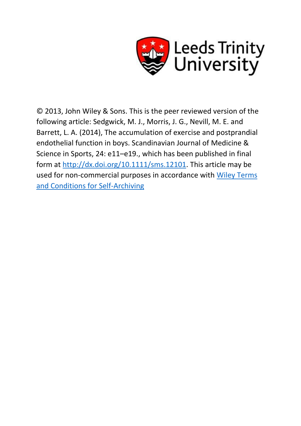

© 2013, John Wiley & Sons. This is the peer reviewed version of the following article: Sedgwick, M. J., Morris, J. G., Nevill, M. E. and Barrett, L. A. (2014), The accumulation of exercise and postprandial endothelial function in boys. Scandinavian Journal of Medicine & Science in Sports, 24: e11–e19., which has been published in final form at [http://dx.doi.org/10.1111/sms.12101.](http://dx.doi.org/10.1111/sms.12101) This article may be used for non-commercial purposes in accordance with [Wiley Terms](http://olabout.wiley.com/WileyCDA/Section/id-820227.html#terms)  [and Conditions for Self-Archiving](http://olabout.wiley.com/WileyCDA/Section/id-820227.html#terms)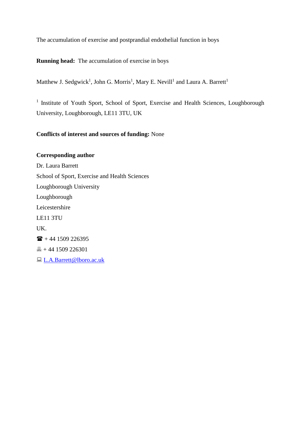The accumulation of exercise and postprandial endothelial function in boys

**Running head:** The accumulation of exercise in boys

Matthew J. Sedgwick<sup>1</sup>, John G. Morris<sup>1</sup>, Mary E. Nevill<sup>1</sup> and Laura A. Barrett<sup>1</sup>

<sup>1</sup> Institute of Youth Sport, School of Sport, Exercise and Health Sciences, Loughborough University, Loughborough, LE11 3TU, UK

## **Conflicts of interest and sources of funding:** None

**Corresponding author** Dr. Laura Barrett School of Sport, Exercise and Health Sciences Loughborough University Loughborough Leicestershire LE11 3TU UK.  $\mathbf{F}$  + 44 1509 226395  $\overline{6}$  + 44 1509 226301 [L.A.Barrett@lboro.ac.uk](mailto:L.A.Barrett@lboro.ac.uk)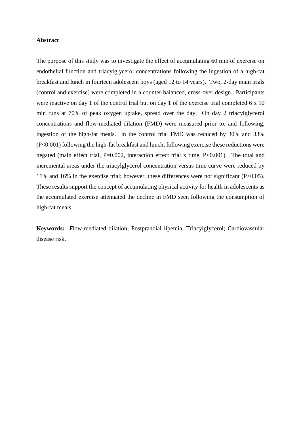#### **Abstract**

The purpose of this study was to investigate the effect of accumulating 60 min of exercise on endothelial function and triacylglycerol concentrations following the ingestion of a high-fat breakfast and lunch in fourteen adolescent boys (aged 12 to 14 years). Two, 2-day main trials (control and exercise) were completed in a counter-balanced, cross-over design. Participants were inactive on day 1 of the control trial but on day 1 of the exercise trial completed 6 x 10 min runs at 70% of peak oxygen uptake, spread over the day. On day 2 triacylglycerol concentrations and flow-mediated dilation (FMD) were measured prior to, and following, ingestion of the high-fat meals. In the control trial FMD was reduced by 30% and 33% (P<0.001) following the high-fat breakfast and lunch; following exercise these reductions were negated (main effect trial, P=0.002, interaction effect trial x time, P<0.001). The total and incremental areas under the triacylglycerol concentration versus time curve were reduced by 11% and 16% in the exercise trial; however, these differences were not significant (P>0.05). These results support the concept of accumulating physical activity for health in adolescents as the accumulated exercise attenuated the decline in FMD seen following the consumption of high-fat meals.

**Keywords:** Flow-mediated dilation; Postprandial lipemia; Triacylglycerol; Cardiovascular disease risk.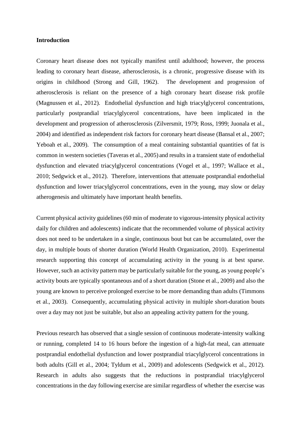#### **Introduction**

Coronary heart disease does not typically manifest until adulthood; however, the process leading to coronary heart disease, atherosclerosis, is a chronic, progressive disease with its origins in childhood (Strong and Gill, 1962). The development and progression of atherosclerosis is reliant on the presence of a high coronary heart disease risk profile (Magnussen et al., 2012). Endothelial dysfunction and high triacylglycerol concentrations, particularly postprandial triacylglycerol concentrations, have been implicated in the development and progression of atherosclerosis (Zilversmit, 1979; Ross, 1999; Juonala et al., 2004) and identified as independent risk factors for coronary heart disease (Bansal et al., 2007; Yeboah et al., 2009). The consumption of a meal containing substantial quantities of fat is common in western societies (Taveras et al., 2005) and results in a transient state of endothelial dysfunction and elevated triacylglycerol concentrations (Vogel et al., 1997; Wallace et al., 2010; Sedgwick et al., 2012). Therefore, interventions that attenuate postprandial endothelial dysfunction and lower triacylglycerol concentrations, even in the young, may slow or delay atherogenesis and ultimately have important health benefits.

Current physical activity guidelines (60 min of moderate to vigorous-intensity physical activity daily for children and adolescents) indicate that the recommended volume of physical activity does not need to be undertaken in a single, continuous bout but can be accumulated, over the day, in multiple bouts of shorter duration (World Health Organization, 2010). Experimental research supporting this concept of accumulating activity in the young is at best sparse. However, such an activity pattern may be particularly suitable for the young, as young people's activity bouts are typically spontaneous and of a short duration (Stone et al., 2009) and also the young are known to perceive prolonged exercise to be more demanding than adults (Timmons et al., 2003). Consequently, accumulating physical activity in multiple short-duration bouts over a day may not just be suitable, but also an appealing activity pattern for the young.

Previous research has observed that a single session of continuous moderate-intensity walking or running, completed 14 to 16 hours before the ingestion of a high-fat meal, can attenuate postprandial endothelial dysfunction and lower postprandial triacylglycerol concentrations in both adults (Gill et al., 2004; Tyldum et al., 2009) and adolescents (Sedgwick et al., 2012). Research in adults also suggests that the reductions in postprandial triacylglycerol concentrations in the day following exercise are similar regardless of whether the exercise was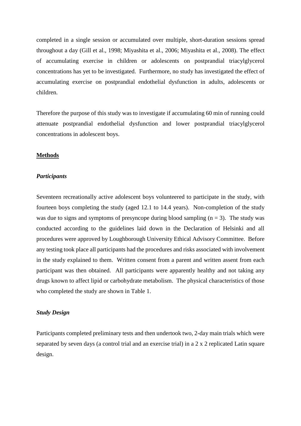completed in a single session or accumulated over multiple, short-duration sessions spread throughout a day (Gill et al., 1998; Miyashita et al., 2006; Miyashita et al., 2008). The effect of accumulating exercise in children or adolescents on postprandial triacylglycerol concentrations has yet to be investigated. Furthermore, no study has investigated the effect of accumulating exercise on postprandial endothelial dysfunction in adults, adolescents or children.

Therefore the purpose of this study was to investigate if accumulating 60 min of running could attenuate postprandial endothelial dysfunction and lower postprandial triacylglycerol concentrations in adolescent boys.

### **Methods**

#### *Participants*

Seventeen recreationally active adolescent boys volunteered to participate in the study, with fourteen boys completing the study (aged 12.1 to 14.4 years). Non-completion of the study was due to signs and symptoms of presyncope during blood sampling  $(n = 3)$ . The study was conducted according to the guidelines laid down in the Declaration of Helsinki and all procedures were approved by Loughborough University Ethical Advisory Committee. Before any testing took place all participants had the procedures and risks associated with involvement in the study explained to them. Written consent from a parent and written assent from each participant was then obtained. All participants were apparently healthy and not taking any drugs known to affect lipid or carbohydrate metabolism. The physical characteristics of those who completed the study are shown in Table 1.

## *Study Design*

Participants completed preliminary tests and then undertook two, 2-day main trials which were separated by seven days (a control trial and an exercise trial) in a 2 x 2 replicated Latin square design.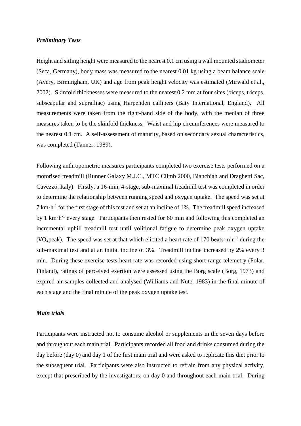#### *Preliminary Tests*

Height and sitting height were measured to the nearest 0.1 cm using a wall mounted stadiometer (Seca, Germany), body mass was measured to the nearest 0.01 kg using a beam balance scale (Avery, Birmingham, UK) and age from peak height velocity was estimated (Mirwald et al., 2002). Skinfold thicknesses were measured to the nearest 0.2 mm at four sites (biceps, triceps, subscapular and suprailiac) using Harpenden callipers (Baty International, England). All measurements were taken from the right-hand side of the body, with the median of three measures taken to be the skinfold thickness. Waist and hip circumferences were measured to the nearest 0.1 cm. A self-assessment of maturity, based on secondary sexual characteristics, was completed (Tanner, 1989).

Following anthropometric measures participants completed two exercise tests performed on a motorised treadmill (Runner Galaxy M.J.C., MTC Climb 2000, Bianchiah and Draghetti Sac, Cavezzo, Italy). Firstly, a 16-min, 4-stage, sub-maximal treadmill test was completed in order to determine the relationship between running speed and oxygen uptake. The speed was set at 7 km·h-1 for the first stage of this test and set at an incline of 1%. The treadmill speed increased by 1 km·h<sup>-1</sup> every stage. Participants then rested for 60 min and following this completed an incremental uphill treadmill test until volitional fatigue to determine peak oxygen uptake  $(VO<sub>2</sub>peak)$ . The speed was set at that which elicited a heart rate of 170 beats min<sup>-1</sup> during the sub-maximal test and at an initial incline of 3%. Treadmill incline increased by 2% every 3 min. During these exercise tests heart rate was recorded using short-range telemetry (Polar, Finland), ratings of perceived exertion were assessed using the Borg scale (Borg, 1973) and expired air samples collected and analysed (Williams and Nute, 1983) in the final minute of each stage and the final minute of the peak oxygen uptake test.

## *Main trials*

Participants were instructed not to consume alcohol or supplements in the seven days before and throughout each main trial. Participants recorded all food and drinks consumed during the day before (day 0) and day 1 of the first main trial and were asked to replicate this diet prior to the subsequent trial. Participants were also instructed to refrain from any physical activity, except that prescribed by the investigators, on day 0 and throughout each main trial. During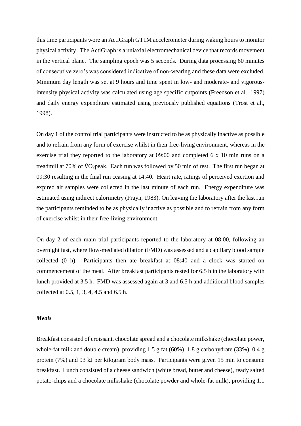this time participants wore an ActiGraph GT1M accelerometer during waking hours to monitor physical activity. The ActiGraph is a uniaxial electromechanical device that records movement in the vertical plane. The sampling epoch was 5 seconds. During data processing 60 minutes of consecutive zero's was considered indicative of non-wearing and these data were excluded. Minimum day length was set at 9 hours and time spent in low- and moderate- and vigorousintensity physical activity was calculated using age specific cutpoints (Freedson et al., 1997) and daily energy expenditure estimated using previously published equations (Trost et al., 1998).

On day 1 of the control trial participants were instructed to be as physically inactive as possible and to refrain from any form of exercise whilst in their free-living environment, whereas in the exercise trial they reported to the laboratory at 09:00 and completed 6 x 10 min runs on a treadmill at 70% of  $\dot{V}O_2$  peak. Each run was followed by 50 min of rest. The first run began at 09:30 resulting in the final run ceasing at 14:40. Heart rate, ratings of perceived exertion and expired air samples were collected in the last minute of each run. Energy expenditure was estimated using indirect calorimetry (Frayn, 1983). On leaving the laboratory after the last run the participants reminded to be as physically inactive as possible and to refrain from any form of exercise whilst in their free-living environment.

On day 2 of each main trial participants reported to the laboratory at 08:00, following an overnight fast, where flow-mediated dilation (FMD) was assessed and a capillary blood sample collected (0 h). Participants then ate breakfast at 08:40 and a clock was started on commencement of the meal. After breakfast participants rested for 6.5 h in the laboratory with lunch provided at 3.5 h. FMD was assessed again at 3 and 6.5 h and additional blood samples collected at 0.5, 1, 3, 4, 4.5 and 6.5 h.

### *Meals*

Breakfast consisted of croissant, chocolate spread and a chocolate milkshake (chocolate power, whole-fat milk and double cream), providing 1.5 g fat (60%), 1.8 g carbohydrate (33%), 0.4 g protein (7%) and 93 kJ per kilogram body mass. Participants were given 15 min to consume breakfast. Lunch consisted of a cheese sandwich (white bread, butter and cheese), ready salted potato-chips and a chocolate milkshake (chocolate powder and whole-fat milk), providing 1.1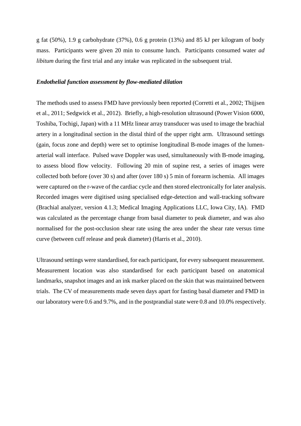g fat (50%), 1.9 g carbohydrate (37%), 0.6 g protein (13%) and 85 kJ per kilogram of body mass. Participants were given 20 min to consume lunch. Participants consumed water *ad libitum* during the first trial and any intake was replicated in the subsequent trial.

#### *Endothelial function assessment by flow-mediated dilation*

The methods used to assess FMD have previously been reported (Corretti et al., 2002; Thijjsen et al., 2011; Sedgwick et al., 2012). Briefly, a high-resolution ultrasound (Power Vision 6000, Toshiba, Tochigi, Japan) with a 11 MHz linear array transducer was used to image the brachial artery in a longitudinal section in the distal third of the upper right arm. Ultrasound settings (gain, focus zone and depth) were set to optimise longitudinal B-mode images of the lumenarterial wall interface. Pulsed wave Doppler was used, simultaneously with B-mode imaging, to assess blood flow velocity. Following 20 min of supine rest, a series of images were collected both before (over 30 s) and after (over 180 s) 5 min of forearm ischemia. All images were captured on the r-wave of the cardiac cycle and then stored electronically for later analysis. Recorded images were digitised using specialised edge-detection and wall-tracking software (Brachial analyzer, version 4.1.3; Medical Imaging Applications LLC, Iowa City, IA). FMD was calculated as the percentage change from basal diameter to peak diameter, and was also normalised for the post-occlusion shear rate using the area under the shear rate versus time curve (between cuff release and peak diameter) (Harris et al., 2010).

Ultrasound settings were standardised, for each participant, for every subsequent measurement. Measurement location was also standardised for each participant based on anatomical landmarks, snapshot images and an ink marker placed on the skin that was maintained between trials. The CV of measurements made seven days apart for fasting basal diameter and FMD in our laboratory were 0.6 and 9.7%, and in the postprandial state were 0.8 and 10.0% respectively.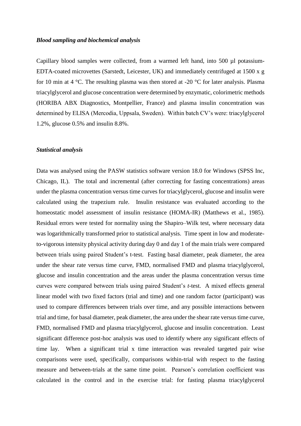#### *Blood sampling and biochemical analysis*

Capillary blood samples were collected, from a warmed left hand, into 500 µl potassium-EDTA-coated microvettes (Sarstedt, Leicester, UK) and immediately centrifuged at 1500 x g for 10 min at 4 °C. The resulting plasma was then stored at -20 °C for later analysis. Plasma triacylglycerol and glucose concentration were determined by enzymatic, colorimetric methods (HORIBA ABX Diagnostics, Montpellier, France) and plasma insulin concentration was determined by ELISA (Mercodia, Uppsala, Sweden). Within batch CV's were: triacylglycerol 1.2%, glucose 0.5% and insulin 8.8%.

#### *Statistical analysis*

Data was analysed using the PASW statistics software version 18.0 for Windows (SPSS Inc, Chicago, IL). The total and incremental (after correcting for fasting concentrations) areas under the plasma concentration versus time curves for triacylglycerol, glucose and insulin were calculated using the trapezium rule.Insulin resistance was evaluated according to the homeostatic model assessment of insulin resistance (HOMA-IR) (Matthews et al., 1985). Residual errors were tested for normality using the Shapiro–Wilk test, where necessary data was logarithmically transformed prior to statistical analysis. Time spent in low and moderateto-vigorous intensity physical activity during day 0 and day 1 of the main trials were compared between trials using paired Student's t-test. Fasting basal diameter, peak diameter, the area under the shear rate versus time curve, FMD, normalised FMD and plasma triacylglycerol, glucose and insulin concentration and the areas under the plasma concentration versus time curves were compared between trials using paired Student's *t*-test. A mixed effects general linear model with two fixed factors (trial and time) and one random factor (participant) was used to compare differences between trials over time, and any possible interactions between trial and time, for basal diameter, peak diameter, the area under the shear rate versus time curve, FMD, normalised FMD and plasma triacylglycerol, glucose and insulin concentration. Least significant difference post-hoc analysis was used to identify where any significant effects of time lay. When a significant trial x time interaction was revealed targeted pair wise comparisons were used, specifically, comparisons within-trial with respect to the fasting measure and between-trials at the same time point. Pearson's correlation coefficient was calculated in the control and in the exercise trial: for fasting plasma triacylglycerol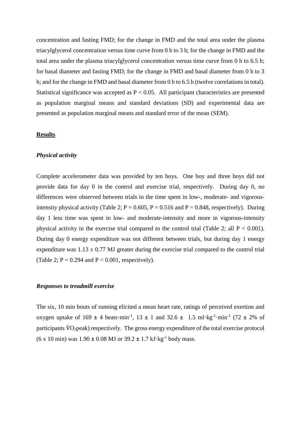concentration and fasting FMD; for the change in FMD and the total area under the plasma triacylglycerol concentration versus time curve from 0 h to 3 h; for the change in FMD and the total area under the plasma triacylglycerol concentration versus time curve from 0 h to 6.5 h; for basal diameter and fasting FMD; for the change in FMD and basal diameter from 0 h to 3 h; and for the change in FMD and basal diameter from 0 h to 6.5 h (twelve correlations in total). Statistical significance was accepted as P < 0.05. All participant characteristics are presented as population marginal means and standard deviations (SD) and experimental data are presented as population marginal means and standard error of the mean (SEM).

#### **Results**

## *Physical activity*

Complete accelerometer data was provided by ten boys. One boy and three boys did not provide data for day 0 in the control and exercise trial, respectively. During day 0, no differences were observed between trials in the time spent in low-, moderate- and vigorousintensity physical activity (Table 2;  $P = 0.605$ ,  $P = 0.516$  and  $P = 0.848$ , respectively). During day 1 less time was spent in low- and moderate-intensity and more in vigorous-intensity physical activity in the exercise trial compared to the control trial (Table 2; all  $P < 0.001$ ). During day 0 energy expenditure was not different between trials, but during day 1 energy expenditure was  $1.13 \pm 0.77$  MJ greater during the exercise trial compared to the control trial (Table 2;  $P = 0.294$  and  $P < 0.001$ , respectively).

#### *Responses to treadmill exercise*

The six, 10 min bouts of running elicited a mean heart rate, ratings of perceived exertion and oxygen uptake of  $169 \pm 4$  beats·min<sup>-1</sup>,  $13 \pm 1$  and  $32.6 \pm 1.5$  ml·kg<sup>-1</sup>·min<sup>-1</sup> (72  $\pm$  2% of participants  $\dot{V}O_2$  peak) respectively. The gross energy expenditure of the total exercise protocol  $(6 \times 10 \text{ min})$  was  $1.90 \pm 0.08 \text{ MJ}$  or  $39.2 \pm 1.7 \text{ kJ} \cdot \text{kg}^{-1}$  body mass.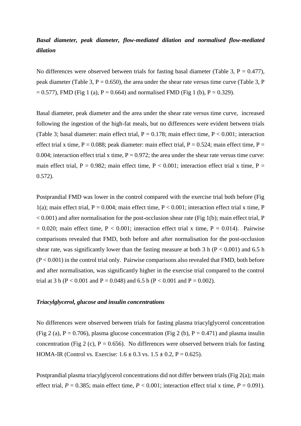# *Basal diameter, peak diameter, flow-mediated dilation and normalised flow-mediated dilation*

No differences were observed between trials for fasting basal diameter (Table 3,  $P = 0.477$ ), peak diameter (Table 3,  $P = 0.650$ ), the area under the shear rate versus time curve (Table 3, P  $= 0.577$ ), FMD (Fig 1 (a), P = 0.664) and normalised FMD (Fig 1 (b), P = 0.329).

Basal diameter, peak diameter and the area under the shear rate versus time curve, increased following the ingestion of the high-fat meals, but no differences were evident between trials (Table 3; basal diameter: main effect trial,  $P = 0.178$ ; main effect time,  $P < 0.001$ ; interaction effect trial x time,  $P = 0.088$ ; peak diameter: main effect trial,  $P = 0.524$ ; main effect time,  $P =$ 0.004; interaction effect trial x time,  $P = 0.972$ ; the area under the shear rate versus time curve: main effect trial, P = 0.982; main effect time, P < 0.001; interaction effect trial x time, P = 0.572).

Postprandial FMD was lower in the control compared with the exercise trial both before (Fig 1(a); main effect trial,  $P = 0.004$ ; main effect time,  $P < 0.001$ ; interaction effect trial x time, P  $< 0.001$ ) and after normalisation for the post-occlusion shear rate (Fig 1(b); main effect trial, P  $= 0.020$ ; main effect time, P < 0.001; interaction effect trial x time, P = 0.014). Pairwise comparisons revealed that FMD, both before and after normalisation for the post-occlusion shear rate, was significantly lower than the fasting measure at both 3 h ( $P < 0.001$ ) and 6.5 h  $(P < 0.001)$  in the control trial only. Pairwise comparisons also revealed that FMD, both before and after normalisation, was significantly higher in the exercise trial compared to the control trial at 3 h (P < 0.001 and P = 0.048) and 6.5 h (P < 0.001 and P = 0.002).

#### *Triacylglycerol, glucose and insulin concentrations*

No differences were observed between trials for fasting plasma triacylglycerol concentration (Fig 2 (a),  $P = 0.706$ ), plasma glucose concentration (Fig 2 (b),  $P = 0.471$ ) and plasma insulin concentration (Fig 2 (c),  $P = 0.656$ ). No differences were observed between trials for fasting HOMA-IR (Control vs. Exercise: 1.6 *±* 0.3 vs. 1.5 *±* 0.2, P = 0.625).

Postprandial plasma triacylglycerol concentrations did not differ between trials (Fig 2(a); main effect trial,  $P = 0.385$ ; main effect time,  $P < 0.001$ ; interaction effect trial x time,  $P = 0.091$ ).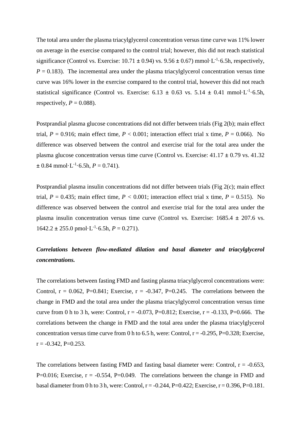The total area under the plasma triacylglycerol concentration versus time curve was 11% lower on average in the exercise compared to the control trial; however, this did not reach statistical significance (Control vs. Exercise:  $10.71 \pm 0.94$ ) vs.  $9.56 \pm 0.67$ ) mmol·L<sup>-1</sup>·6.5h, respectively,  $P = 0.183$ ). The incremental area under the plasma triacylglycerol concentration versus time curve was 16% lower in the exercise compared to the control trial, however this did not reach statistical significance (Control vs. Exercise:  $6.13 \pm 0.63$  vs.  $5.14 \pm 0.41$  mmol·L<sup>-1</sup>·6.5h, respectively,  $P = 0.088$ ).

Postprandial plasma glucose concentrations did not differ between trials (Fig 2(b); main effect trial,  $P = 0.916$ ; main effect time,  $P < 0.001$ ; interaction effect trial x time,  $P = 0.066$ ). No difference was observed between the control and exercise trial for the total area under the plasma glucose concentration versus time curve (Control vs. Exercise: 41.17 *±* 0.79 vs. 41.32  $\pm$  0.84 mmol·L<sup>-1</sup>·6.5h, *P* = 0.741).

Postprandial plasma insulin concentrations did not differ between trials (Fig 2(c); main effect trial,  $P = 0.435$ ; main effect time,  $P < 0.001$ ; interaction effect trial x time,  $P = 0.515$ ). No difference was observed between the control and exercise trial for the total area under the plasma insulin concentration versus time curve (Control vs. Exercise: 1685.4 *±* 207.6 vs.  $1642.2 \pm 255.0 \text{ pmol} \cdot L^{-1} \cdot 6.5h, P = 0.271$ .

# *Correlations between flow-mediated dilation and basal diameter and triacylglycerol concentrations.*

The correlations between fasting FMD and fasting plasma triacylglycerol concentrations were: Control,  $r = 0.062$ , P=0.841; Exercise,  $r = -0.347$ , P=0.245. The correlations between the change in FMD and the total area under the plasma triacylglycerol concentration versus time curve from 0 h to 3 h, were: Control,  $r = -0.073$ , P=0.812; Exercise,  $r = -0.133$ , P=0.666. The correlations between the change in FMD and the total area under the plasma triacylglycerol concentration versus time curve from 0 h to 6.5 h, were: Control,  $r = -0.295$ , P=0.328; Exercise,  $r = -0.342$ , P=0.253.

The correlations between fasting FMD and fasting basal diameter were: Control,  $r = -0.653$ , P=0.016; Exercise,  $r = -0.554$ , P=0.049. The correlations between the change in FMD and basal diameter from 0 h to 3 h, were: Control,  $r = -0.244$ ,  $P = 0.422$ ; Exercise,  $r = 0.396$ ,  $P = 0.181$ .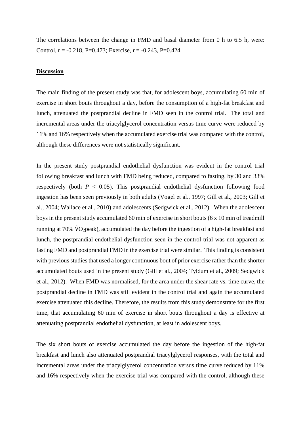The correlations between the change in FMD and basal diameter from 0 h to 6.5 h, were: Control,  $r = -0.218$ , P=0.473; Exercise,  $r = -0.243$ , P=0.424.

#### **Discussion**

The main finding of the present study was that, for adolescent boys, accumulating 60 min of exercise in short bouts throughout a day, before the consumption of a high-fat breakfast and lunch, attenuated the postprandial decline in FMD seen in the control trial. The total and incremental areas under the triacylglycerol concentration versus time curve were reduced by 11% and 16% respectively when the accumulated exercise trial was compared with the control, although these differences were not statistically significant.

In the present study postprandial endothelial dysfunction was evident in the control trial following breakfast and lunch with FMD being reduced, compared to fasting, by 30 and 33% respectively (both  $P < 0.05$ ). This postprandial endothelial dysfunction following food ingestion has been seen previously in both adults (Vogel et al., 1997; Gill et al., 2003; Gill et al., 2004; Wallace et al., 2010) and adolescents (Sedgwick et al., 2012). When the adolescent boys in the present study accumulated 60 min of exercise in short bouts (6 x 10 min of treadmill running at 70% V̇O2peak), accumulated the day before the ingestion of a high-fat breakfast and lunch, the postprandial endothelial dysfunction seen in the control trial was not apparent as fasting FMD and postprandial FMD in the exercise trial were similar. This finding is consistent with previous studies that used a longer continuous bout of prior exercise rather than the shorter accumulated bouts used in the present study (Gill et al., 2004; Tyldum et al., 2009; Sedgwick et al., 2012). When FMD was normalised, for the area under the shear rate vs. time curve, the postprandial decline in FMD was still evident in the control trial and again the accumulated exercise attenuated this decline. Therefore, the results from this study demonstrate for the first time, that accumulating 60 min of exercise in short bouts throughout a day is effective at attenuating postprandial endothelial dysfunction, at least in adolescent boys.

The six short bouts of exercise accumulated the day before the ingestion of the high-fat breakfast and lunch also attenuated postprandial triacylglycerol responses, with the total and incremental areas under the triacylglycerol concentration versus time curve reduced by 11% and 16% respectively when the exercise trial was compared with the control, although these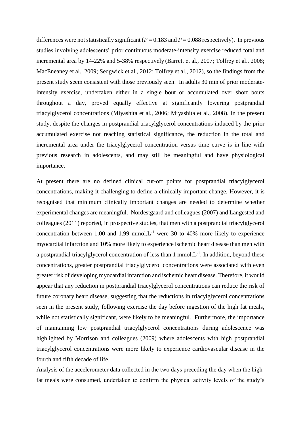differences were not statistically significant ( $P = 0.183$  and  $P = 0.088$  respectively). In previous studies involving adolescents' prior continuous moderate-intensity exercise reduced total and incremental area by 14-22% and 5-38% respectively (Barrett et al., 2007; Tolfrey et al., 2008; MacEneaney et al., 2009; Sedgwick et al., 2012; Tolfrey et al., 2012), so the findings from the present study seem consistent with those previously seen. In adults 30 min of prior moderateintensity exercise, undertaken either in a single bout or accumulated over short bouts throughout a day, proved equally effective at significantly lowering postprandial triacylglycerol concentrations (Miyashita et al., 2006; Miyashita et al., 2008). In the present study, despite the changes in postprandial triacylglycerol concentrations induced by the prior accumulated exercise not reaching statistical significance, the reduction in the total and incremental area under the triacylglycerol concentration versus time curve is in line with previous research in adolescents, and may still be meaningful and have physiological importance.

At present there are no defined clinical cut-off points for postprandial triacylglycerol concentrations, making it challenging to define a clinically important change. However, it is recognised that minimum clinically important changes are needed to determine whether experimental changes are meaningful. Nordestgaard and colleagues (2007) and Langested and colleagues (2011) reported, in prospective studies, that men with a postprandial triacylglycerol concentration between 1.00 and 1.99 mmol. $L^{-1}$  were 30 to 40% more likely to experience myocardial infarction and 10% more likely to experience ischemic heart disease than men with a postprandial triacylglycerol concentration of less than  $1 \text{ mmol.} L^{-1}$ . In addition, beyond these concentrations, greater postprandial triacylglycerol concentrations were associated with even greater risk of developing myocardial infarction and ischemic heart disease. Therefore, it would appear that any reduction in postprandial triacylglycerol concentrations can reduce the risk of future coronary heart disease, suggesting that the reductions in triacylglycerol concentrations seen in the present study, following exercise the day before ingestion of the high fat meals, while not statistically significant, were likely to be meaningful. Furthermore, the importance of maintaining low postprandial triacylglycerol concentrations during adolescence was highlighted by Morrison and colleagues (2009) where adolescents with high postprandial triacylglycerol concentrations were more likely to experience cardiovascular disease in the fourth and fifth decade of life.

Analysis of the accelerometer data collected in the two days preceding the day when the highfat meals were consumed, undertaken to confirm the physical activity levels of the study's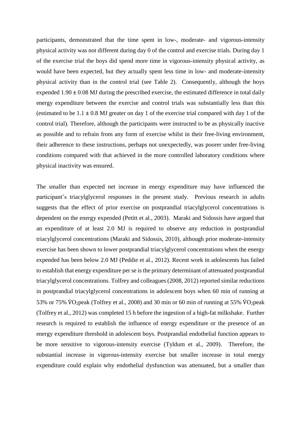participants, demonstrated that the time spent in low-, moderate- and vigorous-intensity physical activity was not different during day 0 of the control and exercise trials. During day 1 of the exercise trial the boys did spend more time in vigorous-intensity physical activity, as would have been expected, but they actually spent less time in low- and moderate-intensity physical activity than in the control trial (see Table 2). Consequently, although the boys expended  $1.90 \pm 0.08$  MJ during the prescribed exercise, the estimated difference in total daily energy expenditure between the exercise and control trials was substantially less than this (estimated to be  $1.1 \pm 0.8$  MJ greater on day 1 of the exercise trial compared with day 1 of the control trial). Therefore, although the participants were instructed to be as physically inactive as possible and to refrain from any form of exercise whilst in their free-living environment, their adherence to these instructions, perhaps not unexpectedly, was poorer under free-living conditions compared with that achieved in the more controlled laboratory conditions where physical inactivity was ensured.

The smaller than expected net increase in energy expenditure may have influenced the participant's triacylglycerol responses in the present study. Previous research in adults suggests that the effect of prior exercise on postprandial triacylglycerol concentrations is dependent on the energy expended (Petitt et al., 2003). Maraki and Sidossis have argued that an expenditure of at least 2.0 MJ is required to observe any reduction in postprandial triacylglycerol concentrations (Maraki and Sidossis, 2010), although prior moderate-intensity exercise has been shown to lower postprandial triacylglycerol concentrations when the energy expended has been below 2.0 MJ (Peddie et al., 2012). Recent work in adolescents has failed to establish that energy expenditure per se is the primary determinant of attenuated postprandial triacylglycerol concentrations. Tolfrey and colleagues (2008, 2012) reported similar reductions in postprandial triacylglycerol concentrations in adolescent boys when 60 min of running at 53% or 75%  $\rm \dot{V}O_2$  peak (Tolfrey et al., 2008) and 30 min or 60 min of running at 55%  $\rm \dot{V}O_2$  peak (Tolfrey et al., 2012) was completed 15 h before the ingestion of a high-fat milkshake. Further research is required to establish the influence of energy expenditure or the presence of an energy expenditure threshold in adolescent boys. Postprandial endothelial function appears to be more sensitive to vigorous-intensity exercise (Tyldum et al., 2009). Therefore, the substantial increase in vigorous-intensity exercise but smaller increase in total energy expenditure could explain why endothelial dysfunction was attenuated, but a smaller than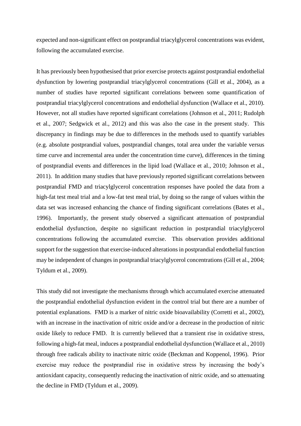expected and non-significant effect on postprandial triacylglycerol concentrations was evident, following the accumulated exercise.

It has previously been hypothesised that prior exercise protects against postprandial endothelial dysfunction by lowering postprandial triacylglycerol concentrations (Gill et al., 2004), as a number of studies have reported significant correlations between some quantification of postprandial triacylglycerol concentrations and endothelial dysfunction (Wallace et al., 2010). However, not all studies have reported significant correlations (Johnson et al., 2011; Rudolph et al., 2007; Sedgwick et al., 2012) and this was also the case in the present study. This discrepancy in findings may be due to differences in the methods used to quantify variables (e.g. absolute postprandial values, postprandial changes, total area under the variable versus time curve and incremental area under the concentration time curve), differences in the timing of postprandial events and differences in the lipid load (Wallace et al., 2010; Johnson et al., 2011). In addition many studies that have previously reported significant correlations between postprandial FMD and triacylglycerol concentration responses have pooled the data from a high-fat test meal trial and a low-fat test meal trial, by doing so the range of values within the data set was increased enhancing the chance of finding significant correlations (Bates et al., 1996). Importantly, the present study observed a significant attenuation of postprandial endothelial dysfunction, despite no significant reduction in postprandial triacylglycerol concentrations following the accumulated exercise. This observation provides additional support for the suggestion that exercise-induced alterations in postprandial endothelial function may be independent of changes in postprandial triacylglycerol concentrations (Gill et al., 2004; Tyldum et al., 2009).

This study did not investigate the mechanisms through which accumulated exercise attenuated the postprandial endothelial dysfunction evident in the control trial but there are a number of potential explanations. FMD is a marker of nitric oxide bioavailability (Corretti et al., 2002), with an increase in the inactivation of nitric oxide and/or a decrease in the production of nitric oxide likely to reduce FMD. It is currently believed that a transient rise in oxidative stress, following a high-fat meal, induces a postprandial endothelial dysfunction (Wallace et al., 2010) through free radicals ability to inactivate nitric oxide (Beckman and Koppenol, 1996). Prior exercise may reduce the postprandial rise in oxidative stress by increasing the body's antioxidant capacity, consequently reducing the inactivation of nitric oxide, and so attenuating the decline in FMD (Tyldum et al., 2009).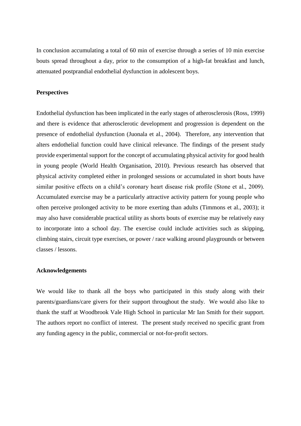In conclusion accumulating a total of 60 min of exercise through a series of 10 min exercise bouts spread throughout a day, prior to the consumption of a high-fat breakfast and lunch, attenuated postprandial endothelial dysfunction in adolescent boys.

#### **Perspectives**

Endothelial dysfunction has been implicated in the early stages of atherosclerosis (Ross, 1999) and there is evidence that atherosclerotic development and progression is dependent on the presence of endothelial dysfunction (Juonala et al., 2004). Therefore, any intervention that alters endothelial function could have clinical relevance. The findings of the present study provide experimental support for the concept of accumulating physical activity for good health in young people (World Health Organisation, 2010). Previous research has observed that physical activity completed either in prolonged sessions or accumulated in short bouts have similar positive effects on a child's coronary heart disease risk profile (Stone et al., 2009). Accumulated exercise may be a particularly attractive activity pattern for young people who often perceive prolonged activity to be more exerting than adults (Timmons et al., 2003); it may also have considerable practical utility as shorts bouts of exercise may be relatively easy to incorporate into a school day. The exercise could include activities such as skipping, climbing stairs, circuit type exercises, or power / race walking around playgrounds or between classes / lessons.

## **Acknowledgements**

We would like to thank all the boys who participated in this study along with their parents/guardians/care givers for their support throughout the study. We would also like to thank the staff at Woodbrook Vale High School in particular Mr Ian Smith for their support. The authors report no conflict of interest. The present study received no specific grant from any funding agency in the public, commercial or not-for-profit sectors.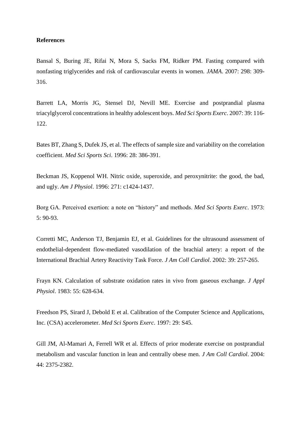#### **References**

Bansal S, Buring JE, Rifai N, Mora S, Sacks FM, Ridker PM. Fasting compared with nonfasting triglycerides and risk of cardiovascular events in women. *JAMA*. 2007: 298: 309- 316.

Barrett LA, Morris JG, Stensel DJ, Nevill ME. Exercise and postprandial plasma triacylglycerol concentrations in healthy adolescent boys. *Med Sci Sports Exerc*. 2007: 39: 116- 122.

Bates BT, Zhang S, Dufek JS, et al. The effects of sample size and variability on the correlation coefficient. *Med Sci Sports Sci*. 1996: 28: 386-391.

Beckman JS, Koppenol WH. Nitric oxide, superoxide, and peroxynitrite: the good, the bad, and ugly. *Am J Physiol*. 1996: 271: c1424-1437.

Borg GA. Perceived exertion: a note on "history" and methods. *Med Sci Sports Exerc*. 1973: 5: 90-93.

Corretti MC, Anderson TJ, Benjamin EJ, et al. Guidelines for the ultrasound assessment of endothelial-dependent flow-mediated vasodilation of the brachial artery: a report of the International Brachial Artery Reactivity Task Force. *J Am Coll Cardiol*. 2002: 39: 257-265.

Frayn KN. Calculation of substrate oxidation rates in vivo from gaseous exchange. *J Appl Physiol*. 1983: 55: 628-634.

Freedson PS, Sirard J, Debold E et al. Calibration of the Computer Science and Applications, Inc. (CSA) accelerometer. *Med Sci Sports Exerc*. 1997: 29: S45.

Gill JM, Al-Mamari A, Ferrell WR et al. Effects of prior moderate exercise on postprandial metabolism and vascular function in lean and centrally obese men. *J Am Coll Cardiol*. 2004: 44: 2375-2382.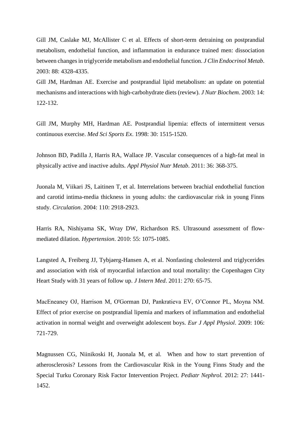Gill JM, Caslake MJ, McAllister C et al. Effects of short-term detraining on postprandial metabolism, endothelial function, and inflammation in endurance trained men: dissociation between changes in triglyceride metabolism and endothelial function. *J Clin Endocrinol Metab*. 2003: 88: 4328-4335.

Gill JM, Hardman AE. Exercise and postprandial lipid metabolism: an update on potential mechanisms and interactions with high-carbohydrate diets (review). *J Nutr Biochem*. 2003: 14: 122-132.

Gill JM, Murphy MH, Hardman AE. Postprandial lipemia: effects of intermittent versus continuous exercise. *Med Sci Sports Ex*. 1998: 30: 1515-1520.

Johnson BD, Padilla J, Harris RA, Wallace JP. Vascular consequences of a high-fat meal in physically active and inactive adults. *Appl Physiol Nutr Metab*. 2011: 36: 368-375.

Juonala M, Viikari JS, Laitinen T, et al. Interrelations between brachial endothelial function and carotid intima-media thickness in young adults: the cardiovascular risk in young Finns study. *Circulation*. 2004: 110: 2918-2923.

Harris RA, Nishiyama SK, Wray DW, Richardson RS. Ultrasound assessment of flowmediated dilation. *Hypertension*. 2010: 55: 1075-1085.

Langsted A, Freiberg JJ, Tybjaerg-Hansen A, et al. Nonfasting cholesterol and triglycerides and association with risk of myocardial infarction and total mortality: the Copenhagen City Heart Study with 31 years of follow up. *J Intern Med*. 2011: 270: 65-75.

MacEneaney OJ, Harrison M, O'Gorman DJ, Pankratieva EV, O'Connor PL, Moyna NM. Effect of prior exercise on postprandial lipemia and markers of inflammation and endothelial activation in normal weight and overweight adolescent boys. *Eur J Appl Physiol*. 2009: 106: 721-729.

Magnussen CG, Niinikoski H, Juonala M, et al. When and how to start prevention of atherosclerosis? Lessons from the Cardiovascular Risk in the Young Finns Study and the Special Turku Coronary Risk Factor Intervention Project. *Pediatr Nephrol.* 2012: 27: 1441- 1452.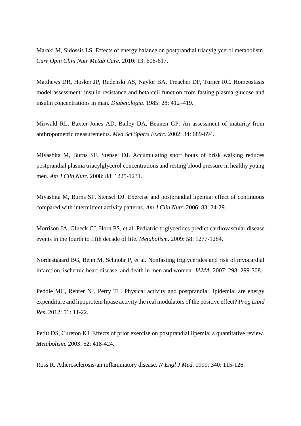Maraki M, Sidossis LS. Effects of energy balance on postprandial triacylglycerol metabolism. *Curr Opin Clini Nutr Metab Care*. 2010: 13: 608-617.

Matthews DR, Hosker JP, Rudenski AS, Naylor BA, Treacher DF, Turner RC. Homeostasis model assessment: insulin resistance and beta-cell function from fasting plasma glucose and insulin concentrations in man. *Diabetologia*. 1985: 28: 412–419.

Mirwald RL, Baxter-Jones AD, Bailey DA, Beunen GP. An assessment of maturity from anthropometric measurements. *Med Sci Sports Exerc*. 2002: 34: 689-694.

Miyashita M, Burns SF, Stensel DJ. Accumulating short bouts of brisk walking reduces postprandial plasma triacylglycerol concentrations and resting blood pressure in healthy young men. *Am J Clin Nutr*. 2008: 88: 1225-1231.

Miyashita M, Burns SF, Stensel DJ. Exercise and postprandial lipemia: effect of continuous compared with intermittent activity patterns. *Am J Clin Nutr*. 2006: 83: 24-29.

Morrison JA, Glueck CJ, Horn PS, et al. Pediatric triglycerides predict cardiovascular disease events in the fourth to fifth decade of life. *Metabolism*. 2009: 58: 1277-1284.

Nordestgaard BG, Benn M, Schnohr P, et al. Nonfasting triglycerides and risk of myocardial infarction, ischemic heart disease, and death in men and women. *JAMA*. 2007: 298: 299-308.

Peddie MC, Rehrer NJ, Perry TL. Physical activity and postprandial lipidemia: are energy expenditure and lipoprotein lipase activity the real modulators of the positive effect? *Prog Lipid Res*. 2012: 51: 11-22.

Petitt DS, Cureton KJ. Effects of prior exercise on postprandial lipemia: a quantitative review. *Metabolism*. 2003: 52: 418-424.

Ross R. Atherosclerosis-an inflammatory disease. *N Engl J Med*. 1999: 340: 115-126.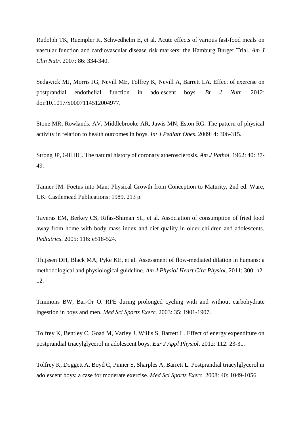Rudolph TK, Ruempler K, Schwedhelm E, et al. Acute effects of various fast-food meals on vascular function and cardiovascular disease risk markers: the Hamburg Burger Trial. *Am J Clin Nutr*. 2007: 86: 334-340.

Sedgwick MJ, Morris JG, Nevill ME, Tolfrey K, Nevill A, Barrett LA. Effect of exercise on postprandial endothelial function in adolescent boys*. Br J Nutr*. 2012: doi:10.1017/S0007114512004977.

Stone MR, Rowlands, AV, Middlebrooke AR, Jawis MN, Eston RG. The pattern of physical activity in relation to health outcomes in boys. *Int J Pediatr Obes*. 2009: 4: 306-315.

Strong JP, Gill HC. The natural history of coronary atherosclerosis. *Am J Pathol.* 1962: 40: 37- 49.

Tanner JM. Foetus into Man: Physical Growth from Conception to Maturity, 2nd ed. Ware, UK: Castlemead Publications: 1989. 213 p.

Taveras EM, Berkey CS, Rifas-Shiman SL, et al. Association of consumption of fried food away from home with body mass index and diet quality in older children and adolescents. *Pediatrics*. 2005: 116: e518-524.

Thijssen DH, Black MA, Pyke KE, et al. Assessment of flow-mediated dilation in humans: a methodological and physiological guideline. *Am J Physiol Heart Circ Physiol*. 2011: 300: h2- 12.

Timmons BW, Bar-Or O. RPE during prolonged cycling with and without carbohydrate ingestion in boys and men. *Med Sci Sports Exerc*. 2003: 35: 1901-1907.

Tolfrey K, Bentley C, Goad M, Varley J, Willis S, Barrett L. Effect of energy expenditure on postprandial triacylglycerol in adolescent boys. *Eur J Appl Physiol*. 2012: 112: 23-31.

Tolfrey K, Doggett A, Boyd C, Pinner S, Sharples A, Barrett L. Postprandial triacylglycerol in adolescent boys: a case for moderate exercise. *Med Sci Sports Exerc*. 2008: 40: 1049-1056.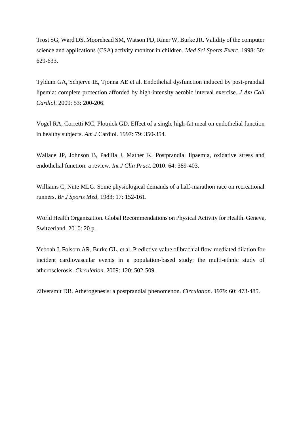Trost SG, Ward DS, Moorehead SM, Watson PD, Riner W, Burke JR. Validity of the computer science and applications (CSA) activity monitor in children. *Med Sci Sports Exerc*. 1998: 30: 629-633.

Tyldum GA, Schjerve IE, Tjonna AE et al. Endothelial dysfunction induced by post-prandial lipemia: complete protection afforded by high-intensity aerobic interval exercise. *J Am Coll Cardiol*. 2009: 53: 200-206.

Vogel RA, Corretti MC, Plotnick GD. Effect of a single high-fat meal on endothelial function in healthy subjects. *Am J* Cardiol. 1997: 79: 350-354.

Wallace JP, Johnson B, Padilla J, Mather K. Postprandial lipaemia, oxidative stress and endothelial function: a review. *Int J Clin Pract*. 2010: 64: 389-403.

Williams C, Nute MLG. Some physiological demands of a half-marathon race on recreational runners. *Br J Sports Med*. 1983: 17: 152-161.

World Health Organization. Global Recommendations on Physical Activity for Health. Geneva, Switzerland. 2010: 20 p.

Yeboah J, Folsom AR, Burke GL, et al. Predictive value of brachial flow-mediated dilation for incident cardiovascular events in a population-based study: the multi-ethnic study of atherosclerosis. *Circulation*. 2009: 120: 502-509.

Zilversmit DB. Atherogenesis: a postprandial phenomenon. *Circulation*. 1979: 60: 473-485.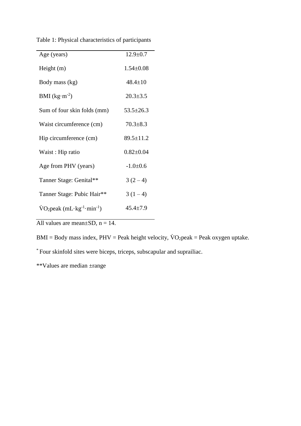| Table 1: Physical characteristics of participants |  |  |
|---------------------------------------------------|--|--|
|---------------------------------------------------|--|--|

| Age (years)                                                                 | $12.9 \pm 0.7$  |
|-----------------------------------------------------------------------------|-----------------|
| Height $(m)$                                                                | $1.54 \pm 0.08$ |
| Body mass (kg)                                                              | $48.4 \pm 10$   |
| BMI $(kg·m-2)$                                                              | $20.3 \pm 3.5$  |
| Sum of four skin folds (mm)                                                 | $53.5 \pm 26.3$ |
| Waist circumference (cm)                                                    | $70.3 \pm 8.3$  |
| Hip circumference (cm)                                                      | $89.5 \pm 11.2$ |
| Waist: Hip ratio                                                            | $0.82 \pm 0.04$ |
| Age from PHV (years)                                                        | $-1.0+0.6$      |
| Tanner Stage: Genital**                                                     | $3(2-4)$        |
| Tanner Stage: Pubic Hair**                                                  | $3(1-4)$        |
| $\text{VO}_2$ peak (mL $\cdot$ kg <sup>-1</sup> $\cdot$ min <sup>-1</sup> ) | $45.4 \pm 7.9$  |
|                                                                             |                 |

All values are mean $\pm$ SD, n = 14.

 $BMI = Body mass index, PHV = Peak height velocity, \dot{V}O_2peak = Peak oxygen uptake.$ 

\* Four skinfold sites were biceps, triceps, subscapular and suprailiac.

\*\*Values are median ±range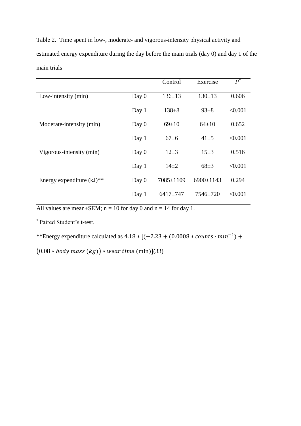Table 2. Time spent in low-, moderate- and vigorous-intensity physical activity and estimated energy expenditure during the day before the main trials (day 0) and day 1 of the main trials

|                              |         | Control      | Exercise        | $P^*$   |
|------------------------------|---------|--------------|-----------------|---------|
| Low-intensity (min)          | Day 0   | $136 \pm 13$ | $130 \pm 13$    | 0.606   |
|                              | Day 1   | $138 + 8$    | $93 \pm 8$      | < 0.001 |
| Moderate-intensity (min)     | Day 0   | $69 \pm 10$  | $64 \pm 10$     | 0.652   |
|                              | Day 1   | $67 \pm 6$   | $41 + 5$        | < 0.001 |
| Vigorous-intensity (min)     | Day 0   | $12+3$       | $15+3$          | 0.516   |
|                              | Day $1$ | $14+2$       | $68 + 3$        | < 0.001 |
| Energy expenditure $(kJ)$ ** | Day 0   | 7085±1109    | $6900 \pm 1143$ | 0.294   |
|                              | Day 1   | $6417 + 747$ | 7546±720        | < 0.001 |

All values are mean $\pm$ SEM; n = 10 for day 0 and n = 14 for day 1.

\* Paired Student's t-test.

\*\*Energy expenditure calculated as  $4.18 \times [(-2.23 + (0.0008 * \overline{counts \cdot min^{-1}}) +$ 

 $(0.08 * body mass (kg)) * wear time (min)](33)$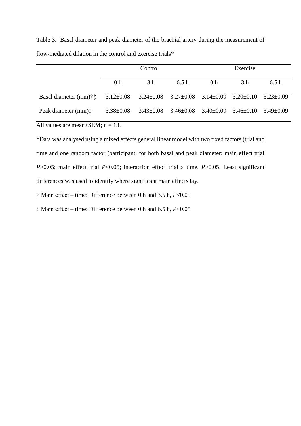|                                      | Control         |                 |                                 | Exercise        |                 |               |
|--------------------------------------|-----------------|-----------------|---------------------------------|-----------------|-----------------|---------------|
|                                      | 0 <sub>h</sub>  | 3 h             | 6.5 h                           | 0 <sub>h</sub>  | 3 h             | 6.5h          |
| Basal diameter $(mm)\dagger\ddagger$ | $3.12 \pm 0.08$ |                 | $3.24 \pm 0.08$ $3.27 \pm 0.08$ | $3.14 \pm 0.09$ | $3.20 \pm 0.10$ | $3.23+0.09$   |
| Peak diameter (mm):                  | $3.38 \pm 0.08$ | $3.43 \pm 0.08$ | $3.46 \pm 0.08$                 | $3.40\pm0.09$   | $3.46 \pm 0.10$ | $3.49 + 0.09$ |

Table 3. Basal diameter and peak diameter of the brachial artery during the measurement of flow-mediated dilation in the control and exercise trials\*

All values are mean $\pm$ SEM; n = 13.

\*Data was analysed using a mixed effects general linear model with two fixed factors (trial and time and one random factor (participant: for both basal and peak diameter: main effect trial *P*>0.05; main effect trial *P*<0.05; interaction effect trial x time, *P*>0.05. Least significant differences was used to identify where significant main effects lay.

† Main effect – time: Difference between 0 h and 3.5 h, *P*<0.05

‡ Main effect – time: Difference between 0 h and 6.5 h, *P*<0.05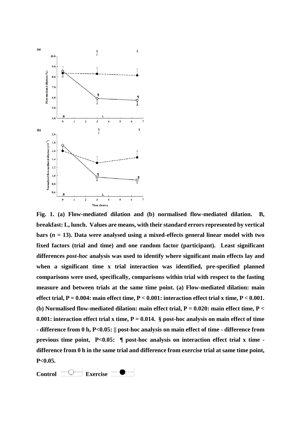

**Fig. 1. (a) Flow-mediated dilation and (b) normalised flow-mediated dilation. B, breakfast: L, lunch. Values are means, with their standard errors represented by vertical bars (***n* **= 13). Data were analysed using a mixed-effects general linear model with two fixed factors (trial and time) and one random factor (participant). Least significant differences** *post-hoc* **analysis was used to identify where significant main effects lay and when a significant time x trial interaction was identified, pre-specified planned comparisons were used, specifically, comparisons within trial with respect to the fasting measure and between trials at the same time point. (a) Flow-mediated dilation: main effect trial, P = 0.004: main effect time, P < 0.001: interaction effect trial x time, P < 0.001. (b) Normalised flow-mediated dilation: main effect trial, P = 0.020: main effect time, P < 0.001: interaction effect trial x time, P = 0.014. § post-hoc analysis on main effect of time - difference from 0 h, P<0.05: || post-hoc analysis on main effect of time - difference from previous time point, P<0.05: ¶ post-hoc analysis on interaction effect trial x time difference from 0 h in the same trial and difference from exercise trial at same time point, P<0.05.**